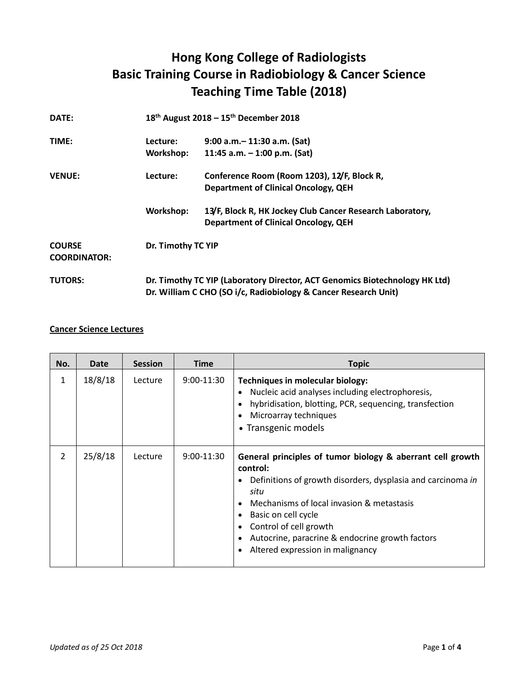## **Hong Kong College of Radiologists Basic Training Course in Radiobiology & Cancer Science Teaching Time Table (2018)**

| DATE:                                |           | 18 <sup>th</sup> August 2018 - 15 <sup>th</sup> December 2018                                                                                  |  |  |
|--------------------------------------|-----------|------------------------------------------------------------------------------------------------------------------------------------------------|--|--|
| TIME:                                | Lecture:  | $9:00$ a.m. $-11:30$ a.m. (Sat)                                                                                                                |  |  |
|                                      | Workshop: | 11:45 a.m. $-$ 1:00 p.m. (Sat)                                                                                                                 |  |  |
| <b>VENUE:</b>                        | Lecture:  | Conference Room (Room 1203), 12/F, Block R,                                                                                                    |  |  |
|                                      |           | <b>Department of Clinical Oncology, QEH</b>                                                                                                    |  |  |
|                                      | Workshop: | 13/F, Block R, HK Jockey Club Cancer Research Laboratory,<br><b>Department of Clinical Oncology, QEH</b>                                       |  |  |
| <b>COURSE</b><br><b>COORDINATOR:</b> |           | Dr. Timothy TC YIP                                                                                                                             |  |  |
| <b>TUTORS:</b>                       |           | Dr. Timothy TC YIP (Laboratory Director, ACT Genomics Biotechnology HK Ltd)<br>Dr. William C CHO (SO i/c, Radiobiology & Cancer Research Unit) |  |  |

## **Cancer Science Lectures**

| No.            | Date    | <b>Session</b> | <b>Time</b>  | <b>Topic</b>                                                                                                                                                                                                                                                                                                                       |
|----------------|---------|----------------|--------------|------------------------------------------------------------------------------------------------------------------------------------------------------------------------------------------------------------------------------------------------------------------------------------------------------------------------------------|
| 1              | 18/8/18 | Lecture        | $9:00-11:30$ | Techniques in molecular biology:<br>Nucleic acid analyses including electrophoresis,<br>hybridisation, blotting, PCR, sequencing, transfection<br>Microarray techniques<br>• Transgenic models                                                                                                                                     |
| $\overline{2}$ | 25/8/18 | Lecture        | $9:00-11:30$ | General principles of tumor biology & aberrant cell growth<br>control:<br>Definitions of growth disorders, dysplasia and carcinoma in<br>situ<br>Mechanisms of local invasion & metastasis<br>Basic on cell cycle<br>Control of cell growth<br>Autocrine, paracrine & endocrine growth factors<br>Altered expression in malignancy |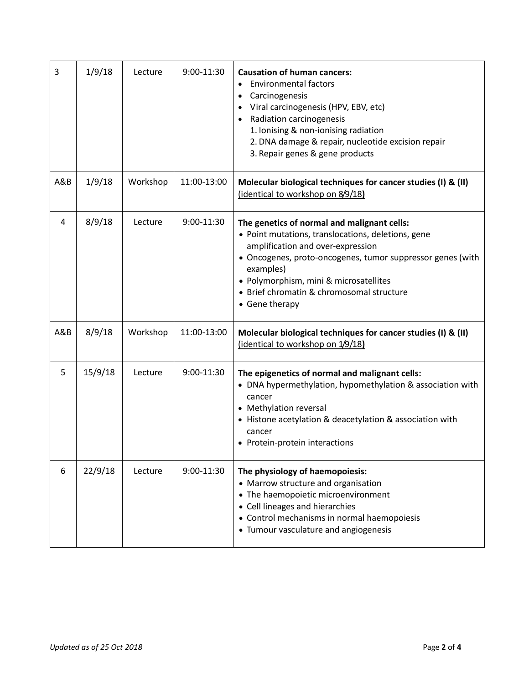| 3   | 1/9/18  | Lecture  | 9:00-11:30  | <b>Causation of human cancers:</b><br><b>Environmental factors</b><br>$\bullet$<br>Carcinogenesis<br>Viral carcinogenesis (HPV, EBV, etc)<br>Radiation carcinogenesis<br>$\bullet$<br>1. Ionising & non-ionising radiation<br>2. DNA damage & repair, nucleotide excision repair<br>3. Repair genes & gene products        |
|-----|---------|----------|-------------|----------------------------------------------------------------------------------------------------------------------------------------------------------------------------------------------------------------------------------------------------------------------------------------------------------------------------|
| A&B | 1/9/18  | Workshop | 11:00-13:00 | Molecular biological techniques for cancer studies (I) & (II)<br>(identical to workshop on 8/9/18)                                                                                                                                                                                                                         |
| 4   | 8/9/18  | Lecture  | 9:00-11:30  | The genetics of normal and malignant cells:<br>• Point mutations, translocations, deletions, gene<br>amplification and over-expression<br>• Oncogenes, proto-oncogenes, tumor suppressor genes (with<br>examples)<br>• Polymorphism, mini & microsatellites<br>• Brief chromatin & chromosomal structure<br>• Gene therapy |
| A&B | 8/9/18  | Workshop | 11:00-13:00 | Molecular biological techniques for cancer studies (I) & (II)<br>(identical to workshop on 1/9/18)                                                                                                                                                                                                                         |
| 5   | 15/9/18 | Lecture  | 9:00-11:30  | The epigenetics of normal and malignant cells:<br>• DNA hypermethylation, hypomethylation & association with<br>cancer<br>• Methylation reversal<br>• Histone acetylation & deacetylation & association with<br>cancer<br>• Protein-protein interactions                                                                   |
| 6   | 22/9/18 | Lecture  | 9:00-11:30  | The physiology of haemopoiesis:<br>• Marrow structure and organisation<br>• The haemopoietic microenvironment<br>• Cell lineages and hierarchies<br>• Control mechanisms in normal haemopoiesis<br>• Tumour vasculature and angiogenesis                                                                                   |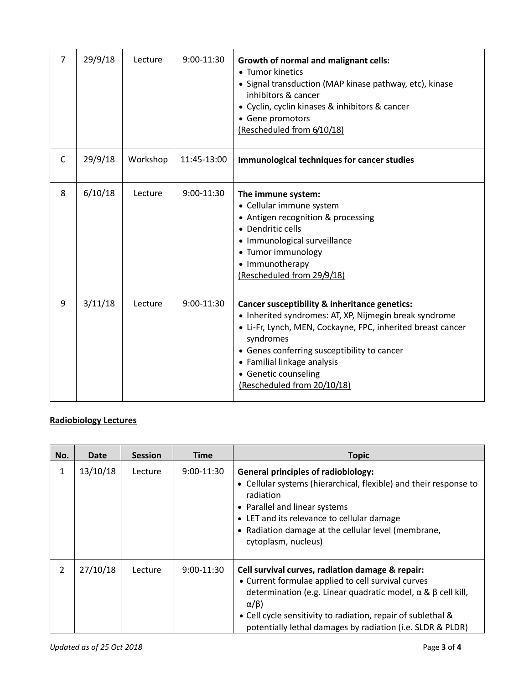| $\overline{7}$ | 29/9/18 | Lecture  | 9:00-11:30  | <b>Growth of normal and malignant cells:</b><br>• Tumor kinetics<br>• Signal transduction (MAP kinase pathway, etc), kinase<br>inhibitors & cancer<br>• Cyclin, cyclin kinases & inhibitors & cancer<br>• Gene promotors<br>(Rescheduled from 6/10/18)                                                                   |
|----------------|---------|----------|-------------|--------------------------------------------------------------------------------------------------------------------------------------------------------------------------------------------------------------------------------------------------------------------------------------------------------------------------|
| $\mathsf{C}$   | 29/9/18 | Workshop | 11:45-13:00 | Immunological techniques for cancer studies                                                                                                                                                                                                                                                                              |
| 8              | 6/10/18 | Lecture  | 9:00-11:30  | The immune system:<br>• Cellular immune system<br>• Antigen recognition & processing<br>• Dendritic cells<br>• Immunological surveillance<br>• Tumor immunology<br>• Immunotherapy<br>(Rescheduled from 29/9/18)                                                                                                         |
| 9              | 3/11/18 | Lecture  | 9:00-11:30  | Cancer susceptibility & inheritance genetics:<br>• Inherited syndromes: AT, XP, Nijmegin break syndrome<br>• Li-Fr, Lynch, MEN, Cockayne, FPC, inherited breast cancer<br>syndromes<br>• Genes conferring susceptibility to cancer<br>• Familial linkage analysis<br>• Genetic counseling<br>(Rescheduled from 20/10/18) |

## **Radiobiology Lectures**

| No.            | Date     | <b>Session</b> | <b>Time</b>  | <b>Topic</b>                                                                                                                                                                                                                                                                                                                         |
|----------------|----------|----------------|--------------|--------------------------------------------------------------------------------------------------------------------------------------------------------------------------------------------------------------------------------------------------------------------------------------------------------------------------------------|
| 1              | 13/10/18 | Lecture        | $9:00-11:30$ | <b>General principles of radiobiology:</b><br>• Cellular systems (hierarchical, flexible) and their response to<br>radiation<br>• Parallel and linear systems<br>• LET and its relevance to cellular damage<br>• Radiation damage at the cellular level (membrane,<br>cytoplasm, nucleus)                                            |
| $\overline{2}$ | 27/10/18 | Lecture        | $9:00-11:30$ | Cell survival curves, radiation damage & repair:<br>• Current formulae applied to cell survival curves<br>determination (e.g. Linear quadratic model, $\alpha \& \beta$ cell kill,<br>$\alpha/\beta$ )<br>• Cell cycle sensitivity to radiation, repair of sublethal &<br>potentially lethal damages by radiation (i.e. SLDR & PLDR) |